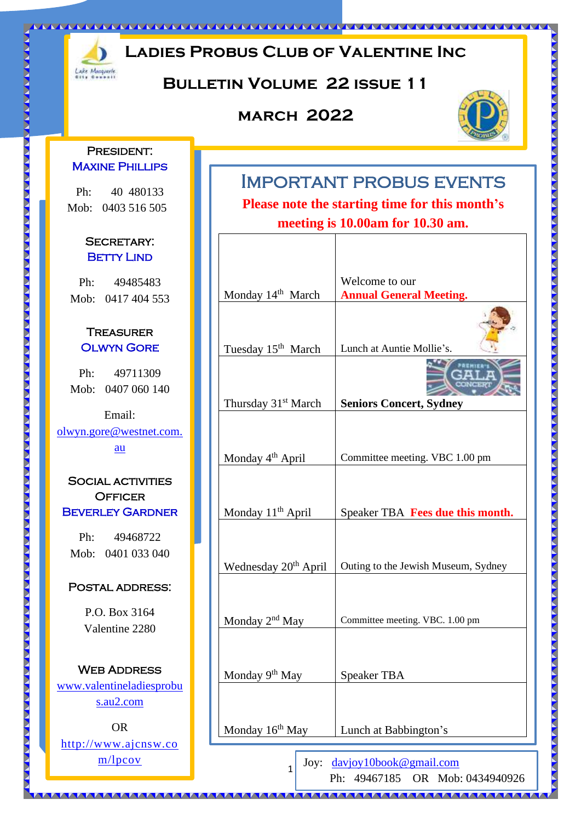

## **Ladies Probus Club of Valentine Inc**

### **Bulletin Volume 22 issue 11**

### **march 2022**



### PRESIDENT: **MAXINE PHILLIPS**

Ph: 40 480133 Mob: 0403 516 505

#### SECRETARY: **BETTY LIND**

Ph: 49485483 Mob: 0417 404 553

D

KKK

D Ž

 $\sum_{i=1}^{n}$ 

D

 $\zeta$ 

∑ W

#### **TREASURER** Olwyn Gore

Ph: 49711309 Mob: 0407 060 140

Email: [olwyn.gore@westnet.com.](mailto:olwyn.gore@westnet.com.au) [au](mailto:olwyn.gore@westnet.com.au)

### SOCIAL ACTIVITIES **OFFICER** Beverley Gardner

Ph: 49468722 Mob: 0401 033 040

#### POSTAL ADDRESS:

P.O. Box 3164 Valentine 2280

**WEB ADDRESS** [www.valentineladiesprobu](http://www.valentineladiesprobus.au2.com/) [s.au2.com](http://www.valentineladiesprobus.au2.com/)

OR [http://www.ajcnsw.co](http://www.ajcnsw.com/lpcov) [m/lpcov](http://www.ajcnsw.com/lpcov)

## Important probus events

**Please note the starting time for this month's meeting is 10.00am for 10.30 am.**

|                                  | Welcome to our                      |
|----------------------------------|-------------------------------------|
| Monday 14th March                | <b>Annual General Meeting.</b>      |
| Tuesday 15 <sup>th</sup> March   | Lunch at Auntie Mollie's.           |
|                                  |                                     |
| Thursday 31 <sup>st</sup> March  | <b>Seniors Concert, Sydney</b>      |
|                                  |                                     |
| Monday 4 <sup>th</sup> April     | Committee meeting. VBC 1.00 pm      |
| Monday 11 <sup>th</sup> April    | Speaker TBA Fees due this month.    |
| Wednesday 20 <sup>th</sup> April | Outing to the Jewish Museum, Sydney |
| Monday 2 <sup>nd</sup> May       | Committee meeting. VBC. 1.00 pm     |
| Monday 9 <sup>th</sup> May       | <b>Speaker TBA</b>                  |
| Monday 16 <sup>th</sup> May      | Lunch at Babbington's               |
|                                  |                                     |

Joy: [davjoy10book@gmail.com](mailto:davjoy10book@gmail.com)

1

Ph: 49467185 OR Mob: 0434940926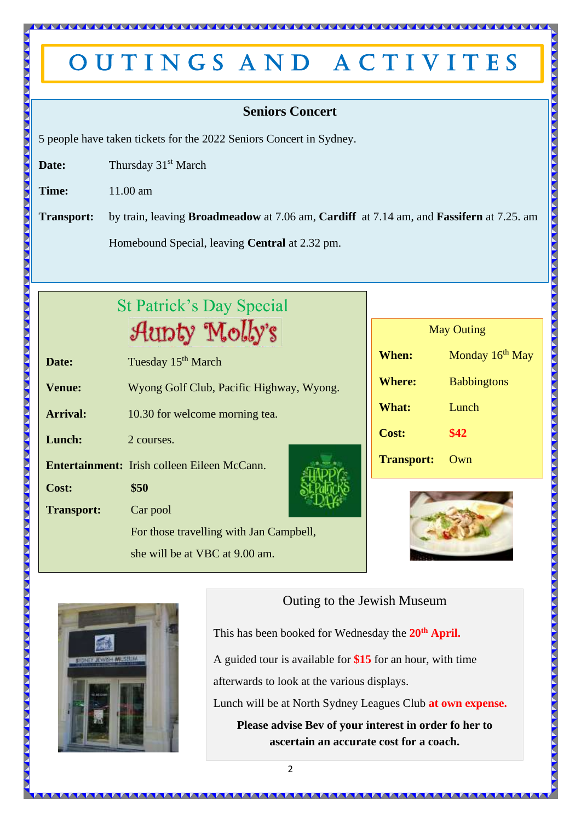## OUTINGS AND ACTIVITES

### **Seniors Concert**

5 people have taken tickets for the 2022 Seniors Concert in Sydney.

**Date:** Thursday 31<sup>st</sup> March

**Time:** 11.00 am

**Transport:** by train, leaving **Broadmeadow** at 7.06 am, **Cardiff** at 7.14 am, and **Fassifern** at 7.25. am Homebound Special, leaving **Central** at 2.32 pm.

| <b>St Patrick's Day Special</b> |                                                    |  |  |
|---------------------------------|----------------------------------------------------|--|--|
|                                 | Aunty Molly's                                      |  |  |
| Date:                           | Tuesday 15 <sup>th</sup> March                     |  |  |
| <b>Venue:</b>                   | Wyong Golf Club, Pacific Highway, Wyong.           |  |  |
| <b>Arrival:</b>                 | 10.30 for welcome morning tea.                     |  |  |
| Lunch:                          | 2 courses.                                         |  |  |
|                                 | <b>Entertainment:</b> Irish colleen Eileen McCann. |  |  |
| Cost:                           | \$50                                               |  |  |
| <b>Transport:</b>               | Car pool                                           |  |  |
|                                 | For those travelling with Jan Campbell,            |  |  |
|                                 | she will be at VBC at 9.00 am.                     |  |  |

| <b>May Outing</b> |                             |  |  |  |
|-------------------|-----------------------------|--|--|--|
| When:             | Monday 16 <sup>th</sup> May |  |  |  |
| <b>Where:</b>     | <b>Babbingtons</b>          |  |  |  |
| <b>What:</b>      | Lunch                       |  |  |  |
| <b>Cost:</b>      | \$42                        |  |  |  |
| <b>Transport:</b> | Own                         |  |  |  |

**AAAAA** 





Outing to the Jewish Museum

This has been booked for Wednesday the **20th April.** 

A guided tour is available for **\$15** for an hour, with time

afterwards to look at the various displays.

Lunch will be at North Sydney Leagues Club **at own expense.**

**Please advise Bev of your interest in order fo her to ascertain an accurate cost for a coach.**

**IN A A A A A A A A A A A A A A**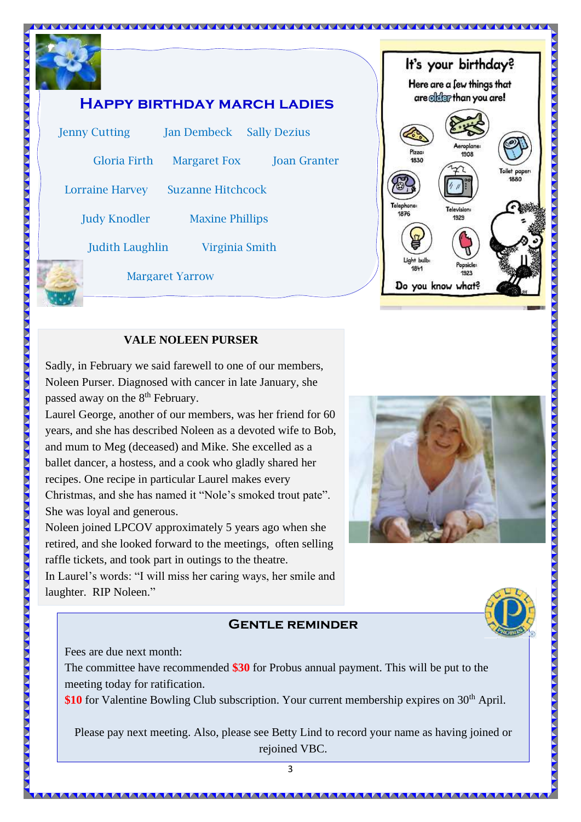



#### **VALE NOLEEN PURSER**

 $\overline{a}$ Sadly, in February we said farewell to one of our members, Noleen Purser. Diagnosed with cancer in late January, she passed away on the 8<sup>th</sup> February.

Laurel George, another of our members, was her friend for 60 years, and she has described Noleen as a devoted wife to Bob, and mum to Meg (deceased) and Mike. She excelled as a ballet dancer, a hostess, and a cook who gladly shared her recipes. One recipe in particular Laurel makes every Christmas, and she has named it "Nole's smoked trout pate". She was loyal and generous.

Noleen joined LPCOV approximately 5 years ago when she retired, and she looked forward to the meetings, often selling raffle tickets, and took part in outings to the theatre.

In Laurel's words: "I will miss her caring ways, her smile and laughter. RIP Noleen."

#### **Gentle reminder**



Fees are due next month:

The committee have recommended **\$30** for Probus annual payment. This will be put to the meeting today for ratification.

**\$10** for Valentine Bowling Club subscription. Your current membership expires on 30<sup>th</sup> April.

Please pay next meeting. Also, please see Betty Lind to record your name as having joined or rejoined VBC.